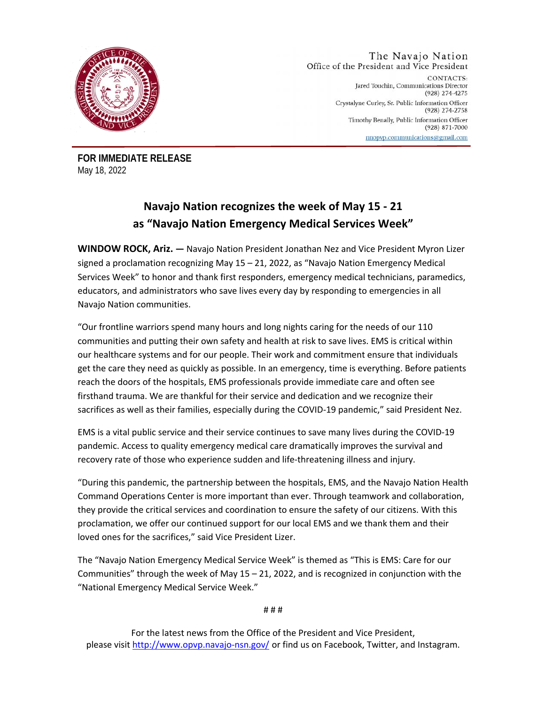

#### The Navajo Nation Office of the President and Vice President

CONTACTS: Jared Touchin, Communications Director (928) 274-4275 Crystalyne Curley, Sr. Public Information Officer (928) 274-2758 Timothy Benally, Public Information Officer  $(928) 871 - 7000$ nnopvp.communications@gmail.com

**FOR IMMEDIATE RELEASE**  May 18, 2022

## **Navajo Nation recognizes the week of May 15 - 21 as "Navajo Nation Emergency Medical Services Week"**

**WINDOW ROCK, Ariz. —** Navajo Nation President Jonathan Nez and Vice President Myron Lizer signed a proclamation recognizing May 15 – 21, 2022, as "Navajo Nation Emergency Medical Services Week" to honor and thank first responders, emergency medical technicians, paramedics, educators, and administrators who save lives every day by responding to emergencies in all Navajo Nation communities.

"Our frontline warriors spend many hours and long nights caring for the needs of our 110 communities and putting their own safety and health at risk to save lives. EMS is critical within our healthcare systems and for our people. Their work and commitment ensure that individuals get the care they need as quickly as possible. In an emergency, time is everything. Before patients reach the doors of the hospitals, EMS professionals provide immediate care and often see firsthand trauma. We are thankful for their service and dedication and we recognize their sacrifices as well as their families, especially during the COVID-19 pandemic," said President Nez.

EMS is a vital public service and their service continues to save many lives during the COVID-19 pandemic. Access to quality emergency medical care dramatically improves the survival and recovery rate of those who experience sudden and life-threatening illness and injury.

"During this pandemic, the partnership between the hospitals, EMS, and the Navajo Nation Health Command Operations Center is more important than ever. Through teamwork and collaboration, they provide the critical services and coordination to ensure the safety of our citizens. With this proclamation, we offer our continued support for our local EMS and we thank them and their loved ones for the sacrifices," said Vice President Lizer.

The "Navajo Nation Emergency Medical Service Week" is themed as "This is EMS: Care for our Communities" through the week of May  $15 - 21$ , 2022, and is recognized in conjunction with the "National Emergency Medical Service Week."

# # #

For the latest news from the Office of the President and Vice President, please visit http://www.opvp.navajo-nsn.gov/ or find us on Facebook, Twitter, and Instagram.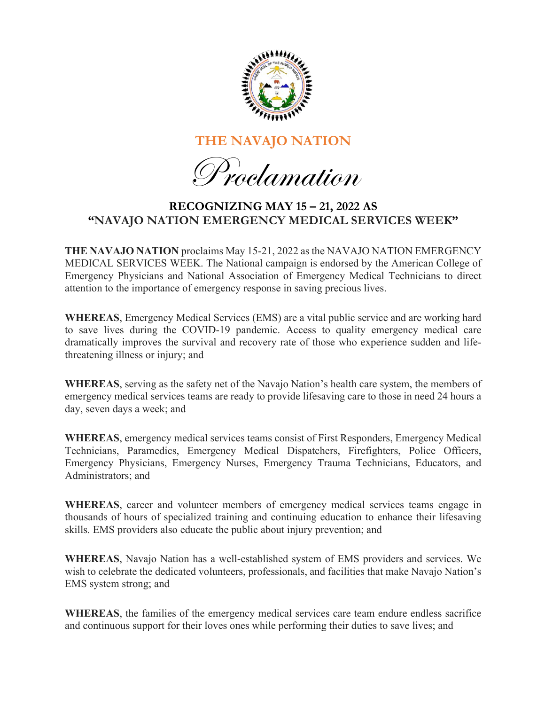

# **THE NAVAJO NATION**

Proclamation

### **RECOGNIZING MAY 15 – 21, 2022 AS "NAVAJO NATION EMERGENCY MEDICAL SERVICES WEEK"**

**THE NAVAJO NATION** proclaims May 15-21, 2022 as the NAVAJO NATION EMERGENCY MEDICAL SERVICES WEEK. The National campaign is endorsed by the American College of Emergency Physicians and National Association of Emergency Medical Technicians to direct attention to the importance of emergency response in saving precious lives.

**WHEREAS**, Emergency Medical Services (EMS) are a vital public service and are working hard to save lives during the COVID-19 pandemic. Access to quality emergency medical care dramatically improves the survival and recovery rate of those who experience sudden and lifethreatening illness or injury; and

**WHEREAS**, serving as the safety net of the Navajo Nation's health care system, the members of emergency medical services teams are ready to provide lifesaving care to those in need 24 hours a day, seven days a week; and

**WHEREAS**, emergency medical services teams consist of First Responders, Emergency Medical Technicians, Paramedics, Emergency Medical Dispatchers, Firefighters, Police Officers, Emergency Physicians, Emergency Nurses, Emergency Trauma Technicians, Educators, and Administrators; and

**WHEREAS**, career and volunteer members of emergency medical services teams engage in thousands of hours of specialized training and continuing education to enhance their lifesaving skills. EMS providers also educate the public about injury prevention; and

**WHEREAS**, Navajo Nation has a well-established system of EMS providers and services. We wish to celebrate the dedicated volunteers, professionals, and facilities that make Navajo Nation's EMS system strong; and

**WHEREAS**, the families of the emergency medical services care team endure endless sacrifice and continuous support for their loves ones while performing their duties to save lives; and